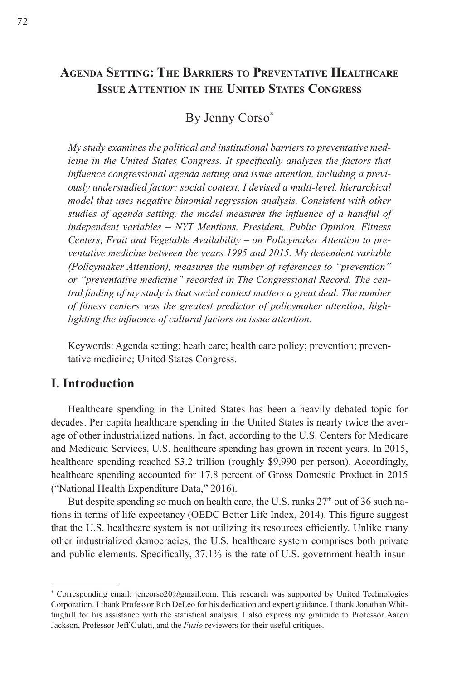# **Agenda Setting: The Barriers to Preventative Healthcare Issue Attention in the United States Congress**

# By Jenny Corso\*

*My study examines the political and institutional barriers to preventative medicine in the United States Congress. It specifically analyzes the factors that influence congressional agenda setting and issue attention, including a previously understudied factor: social context. I devised a multi-level, hierarchical model that uses negative binomial regression analysis. Consistent with other studies of agenda setting, the model measures the influence of a handful of independent variables – NYT Mentions, President, Public Opinion, Fitness Centers, Fruit and Vegetable Availability – on Policymaker Attention to preventative medicine between the years 1995 and 2015. My dependent variable (Policymaker Attention), measures the number of references to "prevention" or "preventative medicine" recorded in The Congressional Record. The central finding of my study is that social context matters a great deal. The number of fitness centers was the greatest predictor of policymaker attention, highlighting the influence of cultural factors on issue attention.*

Keywords: Agenda setting; heath care; health care policy; prevention; preventative medicine; United States Congress.

### **I. Introduction**

Healthcare spending in the United States has been a heavily debated topic for decades. Per capita healthcare spending in the United States is nearly twice the average of other industrialized nations. In fact, according to the U.S. Centers for Medicare and Medicaid Services, U.S. healthcare spending has grown in recent years. In 2015, healthcare spending reached \$3.2 trillion (roughly \$9,990 per person). Accordingly, healthcare spending accounted for 17.8 percent of Gross Domestic Product in 2015 ("National Health Expenditure Data," 2016).

But despite spending so much on health care, the U.S. ranks  $27<sup>th</sup>$  out of 36 such nations in terms of life expectancy (OEDC Better Life Index, 2014). This figure suggest that the U.S. healthcare system is not utilizing its resources efficiently. Unlike many other industrialized democracies, the U.S. healthcare system comprises both private and public elements. Specifically, 37.1% is the rate of U.S. government health insur-

<sup>\*</sup> Corresponding email: jencorso20@gmail.com. This research was supported by United Technologies Corporation. I thank Professor Rob DeLeo for his dedication and expert guidance. I thank Jonathan Whittinghill for his assistance with the statistical analysis. I also express my gratitude to Professor Aaron Jackson, Professor Jeff Gulati, and the *Fusio* reviewers for their useful critiques.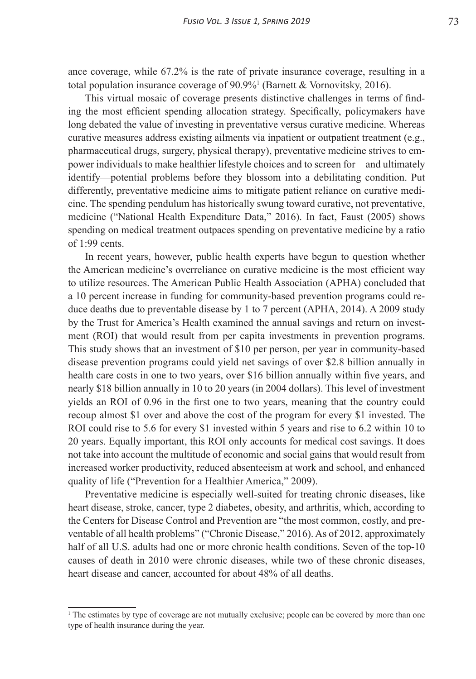ance coverage, while 67.2% is the rate of private insurance coverage, resulting in a total population insurance coverage of 90.9%1 (Barnett & Vornovitsky, 2016).

This virtual mosaic of coverage presents distinctive challenges in terms of finding the most efficient spending allocation strategy. Specifically, policymakers have long debated the value of investing in preventative versus curative medicine. Whereas curative measures address existing ailments via inpatient or outpatient treatment (e.g., pharmaceutical drugs, surgery, physical therapy), preventative medicine strives to empower individuals to make healthier lifestyle choices and to screen for—and ultimately identify—potential problems before they blossom into a debilitating condition. Put differently, preventative medicine aims to mitigate patient reliance on curative medicine. The spending pendulum has historically swung toward curative, not preventative, medicine ("National Health Expenditure Data," 2016). In fact, Faust (2005) shows spending on medical treatment outpaces spending on preventative medicine by a ratio of 1:99 cents.

In recent years, however, public health experts have begun to question whether the American medicine's overreliance on curative medicine is the most efficient way to utilize resources. The American Public Health Association (APHA) concluded that a 10 percent increase in funding for community-based prevention programs could reduce deaths due to preventable disease by 1 to 7 percent (APHA, 2014). A 2009 study by the Trust for America's Health examined the annual savings and return on investment (ROI) that would result from per capita investments in prevention programs. This study shows that an investment of \$10 per person, per year in community-based disease prevention programs could yield net savings of over \$2.8 billion annually in health care costs in one to two years, over \$16 billion annually within five years, and nearly \$18 billion annually in 10 to 20 years (in 2004 dollars). This level of investment yields an ROI of 0.96 in the first one to two years, meaning that the country could recoup almost \$1 over and above the cost of the program for every \$1 invested. The ROI could rise to 5.6 for every \$1 invested within 5 years and rise to 6.2 within 10 to 20 years. Equally important, this ROI only accounts for medical cost savings. It does not take into account the multitude of economic and social gains that would result from increased worker productivity, reduced absenteeism at work and school, and enhanced quality of life ("Prevention for a Healthier America," 2009).

Preventative medicine is especially well-suited for treating chronic diseases, like heart disease, stroke, cancer, type 2 diabetes, obesity, and arthritis, which, according to the Centers for Disease Control and Prevention are "the most common, costly, and preventable of all health problems" ("Chronic Disease," 2016). As of 2012, approximately half of all U.S. adults had one or more chronic health conditions. Seven of the top-10 causes of death in 2010 were chronic diseases, while two of these chronic diseases, heart disease and cancer, accounted for about 48% of all deaths.

<sup>&</sup>lt;sup>1</sup> The estimates by type of coverage are not mutually exclusive; people can be covered by more than one type of health insurance during the year.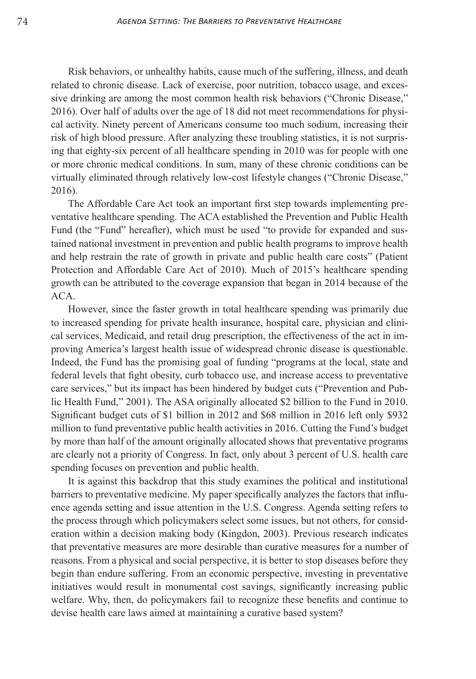Risk behaviors, or unhealthy habits, cause much of the suffering, illness, and death related to chronic disease. Lack of exercise, poor nutrition, tobacco usage, and excessive drinking are among the most common health risk behaviors ("Chronic Disease," 2016). Over half of adults over the age of 18 did not meet recommendations for physical activity. Ninety percent of Americans consume too much sodium, increasing their risk of high blood pressure. After analyzing these troubling statistics, it is not surprising that eighty-six percent of all healthcare spending in 2010 was for people with one or more chronic medical conditions. In sum, many of these chronic conditions can be virtually eliminated through relatively low-cost lifestyle changes ("Chronic Disease," 2016).

The Affordable Care Act took an important first step towards implementing preventative healthcare spending. The ACA established the Prevention and Public Health Fund (the "Fund" hereafter), which must be used "to provide for expanded and sustained national investment in prevention and public health programs to improve health and help restrain the rate of growth in private and public health care costs" (Patient Protection and Affordable Care Act of 2010). Much of 2015's healthcare spending growth can be attributed to the coverage expansion that began in 2014 because of the ACA.

However, since the faster growth in total healthcare spending was primarily due to increased spending for private health insurance, hospital care, physician and clinical services, Medicaid, and retail drug prescription, the effectiveness of the act in improving America's largest health issue of widespread chronic disease is questionable. Indeed, the Fund has the promising goal of funding "programs at the local, state and federal levels that fight obesity, curb tobacco use, and increase access to preventative care services," but its impact has been hindered by budget cuts ("Prevention and Public Health Fund," 2001). The ASA originally allocated \$2 billion to the Fund in 2010. Significant budget cuts of \$1 billion in 2012 and \$68 million in 2016 left only \$932 million to fund preventative public health activities in 2016. Cutting the Fund's budget by more than half of the amount originally allocated shows that preventative programs are clearly not a priority of Congress. In fact, only about 3 percent of U.S. health care spending focuses on prevention and public health.

It is against this backdrop that this study examines the political and institutional barriers to preventative medicine. My paper specifically analyzes the factors that influence agenda setting and issue attention in the U.S. Congress. Agenda setting refers to the process through which policymakers select some issues, but not others, for consideration within a decision making body (Kingdon, 2003). Previous research indicates that preventative measures are more desirable than curative measures for a number of reasons. From a physical and social perspective, it is better to stop diseases before they begin than endure suffering. From an economic perspective, investing in preventative initiatives would result in monumental cost savings, significantly increasing public welfare. Why, then, do policymakers fail to recognize these benefits and continue to devise health care laws aimed at maintaining a curative based system?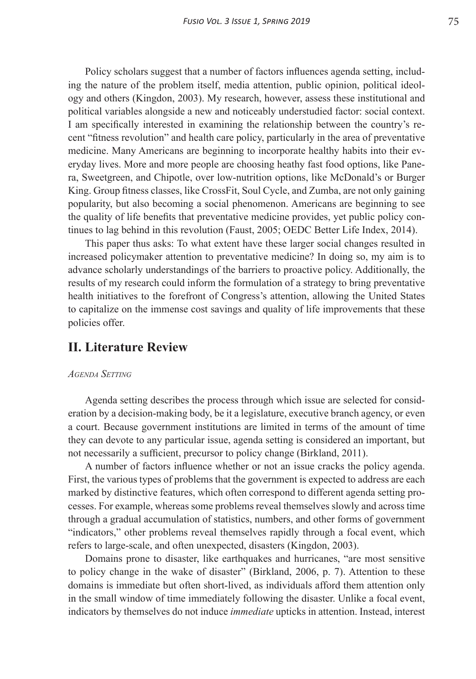Policy scholars suggest that a number of factors influences agenda setting, including the nature of the problem itself, media attention, public opinion, political ideology and others (Kingdon, 2003). My research, however, assess these institutional and political variables alongside a new and noticeably understudied factor: social context. I am specifically interested in examining the relationship between the country's recent "fitness revolution" and health care policy, particularly in the area of preventative medicine. Many Americans are beginning to incorporate healthy habits into their everyday lives. More and more people are choosing heathy fast food options, like Panera, Sweetgreen, and Chipotle, over low-nutrition options, like McDonald's or Burger King. Group fitness classes, like CrossFit, Soul Cycle, and Zumba, are not only gaining popularity, but also becoming a social phenomenon. Americans are beginning to see the quality of life benefits that preventative medicine provides, yet public policy continues to lag behind in this revolution (Faust, 2005; OEDC Better Life Index, 2014).

This paper thus asks: To what extent have these larger social changes resulted in increased policymaker attention to preventative medicine? In doing so, my aim is to advance scholarly understandings of the barriers to proactive policy. Additionally, the results of my research could inform the formulation of a strategy to bring preventative health initiatives to the forefront of Congress's attention, allowing the United States to capitalize on the immense cost savings and quality of life improvements that these policies offer.

## **II. Literature Review**

#### *Agenda Setting*

Agenda setting describes the process through which issue are selected for consideration by a decision-making body, be it a legislature, executive branch agency, or even a court. Because government institutions are limited in terms of the amount of time they can devote to any particular issue, agenda setting is considered an important, but not necessarily a sufficient, precursor to policy change (Birkland, 2011).

A number of factors influence whether or not an issue cracks the policy agenda. First, the various types of problems that the government is expected to address are each marked by distinctive features, which often correspond to different agenda setting processes. For example, whereas some problems reveal themselves slowly and across time through a gradual accumulation of statistics, numbers, and other forms of government "indicators," other problems reveal themselves rapidly through a focal event, which refers to large-scale, and often unexpected, disasters (Kingdon, 2003).

Domains prone to disaster, like earthquakes and hurricanes, "are most sensitive to policy change in the wake of disaster" (Birkland, 2006, p. 7). Attention to these domains is immediate but often short-lived, as individuals afford them attention only in the small window of time immediately following the disaster. Unlike a focal event, indicators by themselves do not induce *immediate* upticks in attention. Instead, interest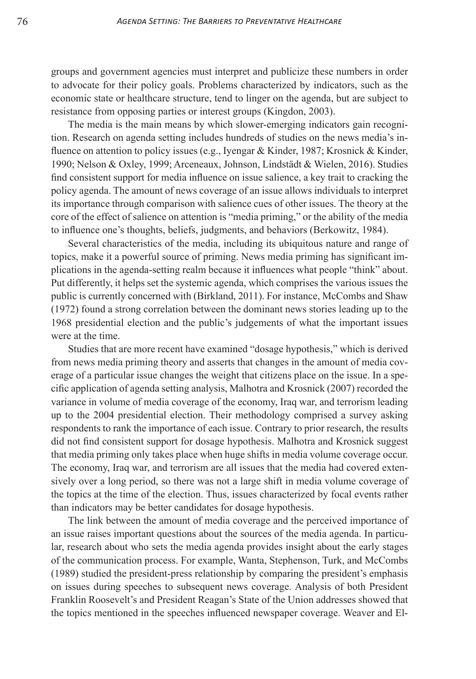groups and government agencies must interpret and publicize these numbers in order to advocate for their policy goals. Problems characterized by indicators, such as the economic state or healthcare structure, tend to linger on the agenda, but are subject to resistance from opposing parties or interest groups (Kingdon, 2003).

The media is the main means by which slower-emerging indicators gain recognition. Research on agenda setting includes hundreds of studies on the news media's influence on attention to policy issues (e.g., Iyengar & Kinder, 1987; Krosnick & Kinder, 1990; Nelson & Oxley, 1999; Arceneaux, Johnson, Lindstädt & Wielen, 2016). Studies find consistent support for media influence on issue salience, a key trait to cracking the policy agenda. The amount of news coverage of an issue allows individuals to interpret its importance through comparison with salience cues of other issues. The theory at the core of the effect of salience on attention is "media priming," or the ability of the media to influence one's thoughts, beliefs, judgments, and behaviors (Berkowitz, 1984).

Several characteristics of the media, including its ubiquitous nature and range of topics, make it a powerful source of priming. News media priming has significant implications in the agenda-setting realm because it influences what people "think" about. Put differently, it helps set the systemic agenda, which comprises the various issues the public is currently concerned with (Birkland, 2011). For instance, McCombs and Shaw (1972) found a strong correlation between the dominant news stories leading up to the 1968 presidential election and the public's judgements of what the important issues were at the time.

Studies that are more recent have examined "dosage hypothesis," which is derived from news media priming theory and asserts that changes in the amount of media coverage of a particular issue changes the weight that citizens place on the issue. In a specific application of agenda setting analysis, Malhotra and Krosnick (2007) recorded the variance in volume of media coverage of the economy, Iraq war, and terrorism leading up to the 2004 presidential election. Their methodology comprised a survey asking respondents to rank the importance of each issue. Contrary to prior research, the results did not find consistent support for dosage hypothesis. Malhotra and Krosnick suggest that media priming only takes place when huge shifts in media volume coverage occur. The economy, Iraq war, and terrorism are all issues that the media had covered extensively over a long period, so there was not a large shift in media volume coverage of the topics at the time of the election. Thus, issues characterized by focal events rather than indicators may be better candidates for dosage hypothesis.

The link between the amount of media coverage and the perceived importance of an issue raises important questions about the sources of the media agenda. In particular, research about who sets the media agenda provides insight about the early stages of the communication process. For example, Wanta, Stephenson, Turk, and McCombs (1989) studied the president-press relationship by comparing the president's emphasis on issues during speeches to subsequent news coverage. Analysis of both President Franklin Roosevelt's and President Reagan's State of the Union addresses showed that the topics mentioned in the speeches influenced newspaper coverage. Weaver and El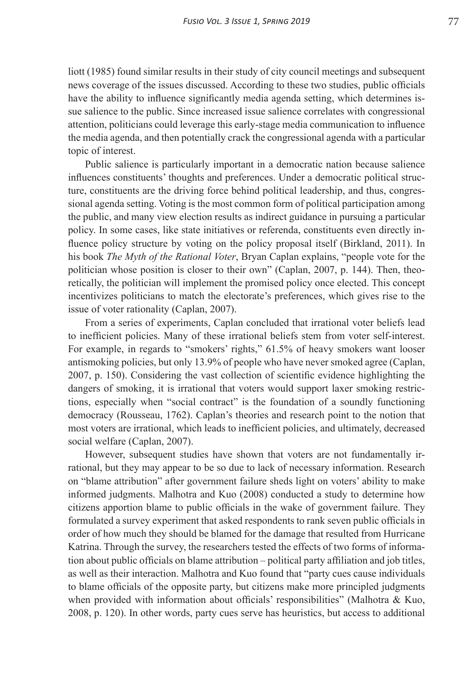liott (1985) found similar results in their study of city council meetings and subsequent news coverage of the issues discussed. According to these two studies, public officials have the ability to influence significantly media agenda setting, which determines issue salience to the public. Since increased issue salience correlates with congressional attention, politicians could leverage this early-stage media communication to influence the media agenda, and then potentially crack the congressional agenda with a particular topic of interest.

Public salience is particularly important in a democratic nation because salience influences constituents' thoughts and preferences. Under a democratic political structure, constituents are the driving force behind political leadership, and thus, congressional agenda setting. Voting is the most common form of political participation among the public, and many view election results as indirect guidance in pursuing a particular policy. In some cases, like state initiatives or referenda, constituents even directly influence policy structure by voting on the policy proposal itself (Birkland, 2011). In his book *The Myth of the Rational Voter*, Bryan Caplan explains, "people vote for the politician whose position is closer to their own" (Caplan, 2007, p. 144). Then, theoretically, the politician will implement the promised policy once elected. This concept incentivizes politicians to match the electorate's preferences, which gives rise to the issue of voter rationality (Caplan, 2007).

From a series of experiments, Caplan concluded that irrational voter beliefs lead to inefficient policies. Many of these irrational beliefs stem from voter self-interest. For example, in regards to "smokers' rights," 61.5% of heavy smokers want looser antismoking policies, but only 13.9% of people who have never smoked agree (Caplan, 2007, p. 150). Considering the vast collection of scientific evidence highlighting the dangers of smoking, it is irrational that voters would support laxer smoking restrictions, especially when "social contract" is the foundation of a soundly functioning democracy (Rousseau, 1762). Caplan's theories and research point to the notion that most voters are irrational, which leads to inefficient policies, and ultimately, decreased social welfare (Caplan, 2007).

However, subsequent studies have shown that voters are not fundamentally irrational, but they may appear to be so due to lack of necessary information. Research on "blame attribution" after government failure sheds light on voters' ability to make informed judgments. Malhotra and Kuo (2008) conducted a study to determine how citizens apportion blame to public officials in the wake of government failure. They formulated a survey experiment that asked respondents to rank seven public officials in order of how much they should be blamed for the damage that resulted from Hurricane Katrina. Through the survey, the researchers tested the effects of two forms of information about public officials on blame attribution – political party affiliation and job titles, as well as their interaction. Malhotra and Kuo found that "party cues cause individuals to blame officials of the opposite party, but citizens make more principled judgments when provided with information about officials' responsibilities" (Malhotra & Kuo, 2008, p. 120). In other words, party cues serve has heuristics, but access to additional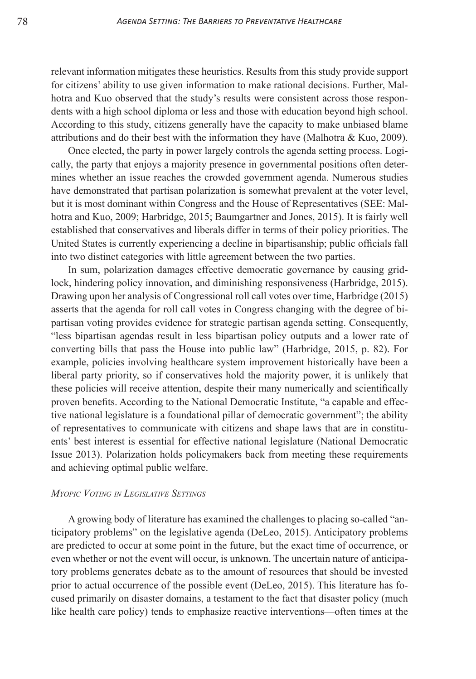relevant information mitigates these heuristics. Results from this study provide support for citizens' ability to use given information to make rational decisions. Further, Malhotra and Kuo observed that the study's results were consistent across those respondents with a high school diploma or less and those with education beyond high school. According to this study, citizens generally have the capacity to make unbiased blame attributions and do their best with the information they have (Malhotra & Kuo, 2009).

Once elected, the party in power largely controls the agenda setting process. Logically, the party that enjoys a majority presence in governmental positions often determines whether an issue reaches the crowded government agenda. Numerous studies have demonstrated that partisan polarization is somewhat prevalent at the voter level, but it is most dominant within Congress and the House of Representatives (SEE: Malhotra and Kuo, 2009; Harbridge, 2015; Baumgartner and Jones, 2015). It is fairly well established that conservatives and liberals differ in terms of their policy priorities. The United States is currently experiencing a decline in bipartisanship; public officials fall into two distinct categories with little agreement between the two parties.

In sum, polarization damages effective democratic governance by causing gridlock, hindering policy innovation, and diminishing responsiveness (Harbridge, 2015). Drawing upon her analysis of Congressional roll call votes over time, Harbridge (2015) asserts that the agenda for roll call votes in Congress changing with the degree of bipartisan voting provides evidence for strategic partisan agenda setting. Consequently, "less bipartisan agendas result in less bipartisan policy outputs and a lower rate of converting bills that pass the House into public law" (Harbridge, 2015, p. 82). For example, policies involving healthcare system improvement historically have been a liberal party priority, so if conservatives hold the majority power, it is unlikely that these policies will receive attention, despite their many numerically and scientifically proven benefits. According to the National Democratic Institute, "a capable and effective national legislature is a foundational pillar of democratic government"; the ability of representatives to communicate with citizens and shape laws that are in constituents' best interest is essential for effective national legislature (National Democratic Issue 2013). Polarization holds policymakers back from meeting these requirements and achieving optimal public welfare.

#### *Myopic Voting in Legislative Settings*

A growing body of literature has examined the challenges to placing so-called "anticipatory problems" on the legislative agenda (DeLeo, 2015). Anticipatory problems are predicted to occur at some point in the future, but the exact time of occurrence, or even whether or not the event will occur, is unknown. The uncertain nature of anticipatory problems generates debate as to the amount of resources that should be invested prior to actual occurrence of the possible event (DeLeo, 2015). This literature has focused primarily on disaster domains, a testament to the fact that disaster policy (much like health care policy) tends to emphasize reactive interventions—often times at the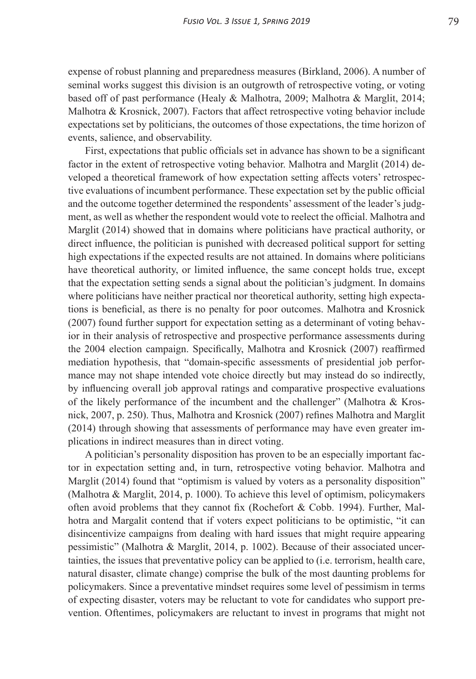expense of robust planning and preparedness measures (Birkland, 2006). A number of seminal works suggest this division is an outgrowth of retrospective voting, or voting based off of past performance (Healy & Malhotra, 2009; Malhotra & Marglit, 2014; Malhotra & Krosnick, 2007). Factors that affect retrospective voting behavior include expectations set by politicians, the outcomes of those expectations, the time horizon of events, salience, and observability.

First, expectations that public officials set in advance has shown to be a significant factor in the extent of retrospective voting behavior. Malhotra and Marglit (2014) developed a theoretical framework of how expectation setting affects voters' retrospective evaluations of incumbent performance. These expectation set by the public official and the outcome together determined the respondents' assessment of the leader's judgment, as well as whether the respondent would vote to reelect the official. Malhotra and Marglit (2014) showed that in domains where politicians have practical authority, or direct influence, the politician is punished with decreased political support for setting high expectations if the expected results are not attained. In domains where politicians have theoretical authority, or limited influence, the same concept holds true, except that the expectation setting sends a signal about the politician's judgment. In domains where politicians have neither practical nor theoretical authority, setting high expectations is beneficial, as there is no penalty for poor outcomes. Malhotra and Krosnick (2007) found further support for expectation setting as a determinant of voting behavior in their analysis of retrospective and prospective performance assessments during the 2004 election campaign. Specifically, Malhotra and Krosnick (2007) reaffirmed mediation hypothesis, that "domain-specific assessments of presidential job performance may not shape intended vote choice directly but may instead do so indirectly, by influencing overall job approval ratings and comparative prospective evaluations of the likely performance of the incumbent and the challenger" (Malhotra & Krosnick, 2007, p. 250). Thus, Malhotra and Krosnick (2007) refines Malhotra and Marglit (2014) through showing that assessments of performance may have even greater implications in indirect measures than in direct voting.

A politician's personality disposition has proven to be an especially important factor in expectation setting and, in turn, retrospective voting behavior. Malhotra and Marglit (2014) found that "optimism is valued by voters as a personality disposition" (Malhotra & Marglit, 2014, p. 1000). To achieve this level of optimism, policymakers often avoid problems that they cannot fix (Rochefort & Cobb. 1994). Further, Malhotra and Margalit contend that if voters expect politicians to be optimistic, "it can disincentivize campaigns from dealing with hard issues that might require appearing pessimistic" (Malhotra & Marglit, 2014, p. 1002). Because of their associated uncertainties, the issues that preventative policy can be applied to (i.e. terrorism, health care, natural disaster, climate change) comprise the bulk of the most daunting problems for policymakers. Since a preventative mindset requires some level of pessimism in terms of expecting disaster, voters may be reluctant to vote for candidates who support prevention. Oftentimes, policymakers are reluctant to invest in programs that might not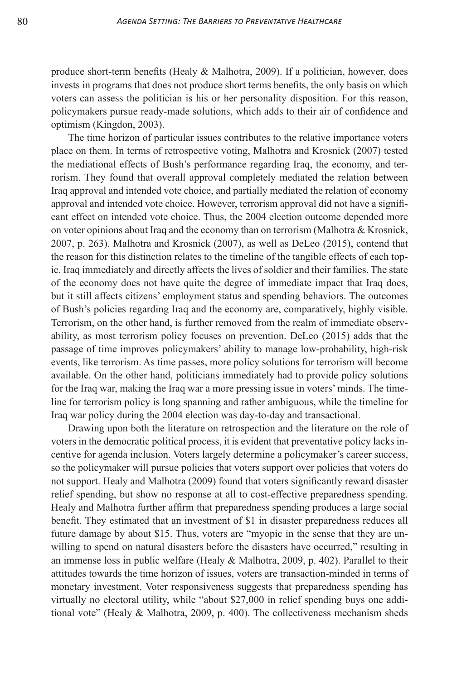produce short-term benefits (Healy & Malhotra, 2009). If a politician, however, does invests in programs that does not produce short terms benefits, the only basis on which voters can assess the politician is his or her personality disposition. For this reason, policymakers pursue ready-made solutions, which adds to their air of confidence and optimism (Kingdon, 2003).

The time horizon of particular issues contributes to the relative importance voters place on them. In terms of retrospective voting, Malhotra and Krosnick (2007) tested the mediational effects of Bush's performance regarding Iraq, the economy, and terrorism. They found that overall approval completely mediated the relation between Iraq approval and intended vote choice, and partially mediated the relation of economy approval and intended vote choice. However, terrorism approval did not have a significant effect on intended vote choice. Thus, the 2004 election outcome depended more on voter opinions about Iraq and the economy than on terrorism (Malhotra & Krosnick, 2007, p. 263). Malhotra and Krosnick (2007), as well as DeLeo (2015), contend that the reason for this distinction relates to the timeline of the tangible effects of each topic. Iraq immediately and directly affects the lives of soldier and their families. The state of the economy does not have quite the degree of immediate impact that Iraq does, but it still affects citizens' employment status and spending behaviors. The outcomes of Bush's policies regarding Iraq and the economy are, comparatively, highly visible. Terrorism, on the other hand, is further removed from the realm of immediate observability, as most terrorism policy focuses on prevention. DeLeo (2015) adds that the passage of time improves policymakers' ability to manage low-probability, high-risk events, like terrorism. As time passes, more policy solutions for terrorism will become available. On the other hand, politicians immediately had to provide policy solutions for the Iraq war, making the Iraq war a more pressing issue in voters' minds. The timeline for terrorism policy is long spanning and rather ambiguous, while the timeline for Iraq war policy during the 2004 election was day-to-day and transactional.

Drawing upon both the literature on retrospection and the literature on the role of voters in the democratic political process, it is evident that preventative policy lacks incentive for agenda inclusion. Voters largely determine a policymaker's career success, so the policymaker will pursue policies that voters support over policies that voters do not support. Healy and Malhotra (2009) found that voters significantly reward disaster relief spending, but show no response at all to cost-effective preparedness spending. Healy and Malhotra further affirm that preparedness spending produces a large social benefit. They estimated that an investment of \$1 in disaster preparedness reduces all future damage by about \$15. Thus, voters are "myopic in the sense that they are unwilling to spend on natural disasters before the disasters have occurred," resulting in an immense loss in public welfare (Healy  $&$  Malhotra, 2009, p. 402). Parallel to their attitudes towards the time horizon of issues, voters are transaction-minded in terms of monetary investment. Voter responsiveness suggests that preparedness spending has virtually no electoral utility, while "about \$27,000 in relief spending buys one additional vote" (Healy & Malhotra, 2009, p. 400). The collectiveness mechanism sheds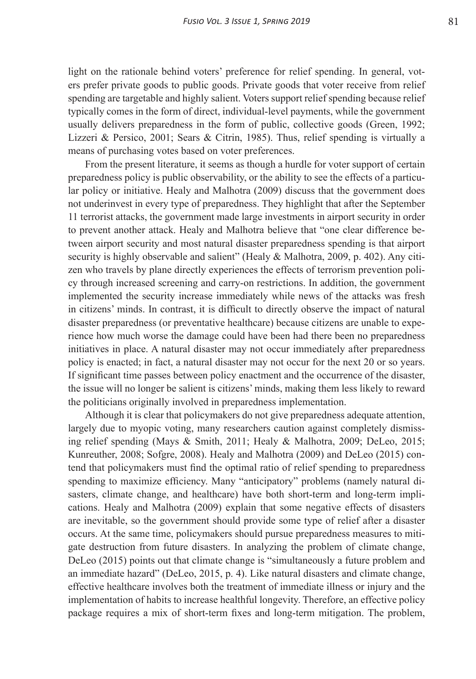light on the rationale behind voters' preference for relief spending. In general, voters prefer private goods to public goods. Private goods that voter receive from relief spending are targetable and highly salient. Voters support relief spending because relief typically comes in the form of direct, individual-level payments, while the government usually delivers preparedness in the form of public, collective goods (Green, 1992; Lizzeri & Persico, 2001; Sears & Citrin, 1985). Thus, relief spending is virtually a means of purchasing votes based on voter preferences.

From the present literature, it seems as though a hurdle for voter support of certain preparedness policy is public observability, or the ability to see the effects of a particular policy or initiative. Healy and Malhotra (2009) discuss that the government does not underinvest in every type of preparedness. They highlight that after the September 11 terrorist attacks, the government made large investments in airport security in order to prevent another attack. Healy and Malhotra believe that "one clear difference between airport security and most natural disaster preparedness spending is that airport security is highly observable and salient" (Healy & Malhotra, 2009, p. 402). Any citizen who travels by plane directly experiences the effects of terrorism prevention policy through increased screening and carry-on restrictions. In addition, the government implemented the security increase immediately while news of the attacks was fresh in citizens' minds. In contrast, it is difficult to directly observe the impact of natural disaster preparedness (or preventative healthcare) because citizens are unable to experience how much worse the damage could have been had there been no preparedness initiatives in place. A natural disaster may not occur immediately after preparedness policy is enacted; in fact, a natural disaster may not occur for the next 20 or so years. If significant time passes between policy enactment and the occurrence of the disaster, the issue will no longer be salient is citizens' minds, making them less likely to reward the politicians originally involved in preparedness implementation.

Although it is clear that policymakers do not give preparedness adequate attention, largely due to myopic voting, many researchers caution against completely dismissing relief spending (Mays & Smith, 2011; Healy & Malhotra, 2009; DeLeo, 2015; Kunreuther, 2008; Sofgre, 2008). Healy and Malhotra (2009) and DeLeo (2015) contend that policymakers must find the optimal ratio of relief spending to preparedness spending to maximize efficiency. Many "anticipatory" problems (namely natural disasters, climate change, and healthcare) have both short-term and long-term implications. Healy and Malhotra (2009) explain that some negative effects of disasters are inevitable, so the government should provide some type of relief after a disaster occurs. At the same time, policymakers should pursue preparedness measures to mitigate destruction from future disasters. In analyzing the problem of climate change, DeLeo (2015) points out that climate change is "simultaneously a future problem and an immediate hazard" (DeLeo, 2015, p. 4). Like natural disasters and climate change, effective healthcare involves both the treatment of immediate illness or injury and the implementation of habits to increase healthful longevity. Therefore, an effective policy package requires a mix of short-term fixes and long-term mitigation. The problem,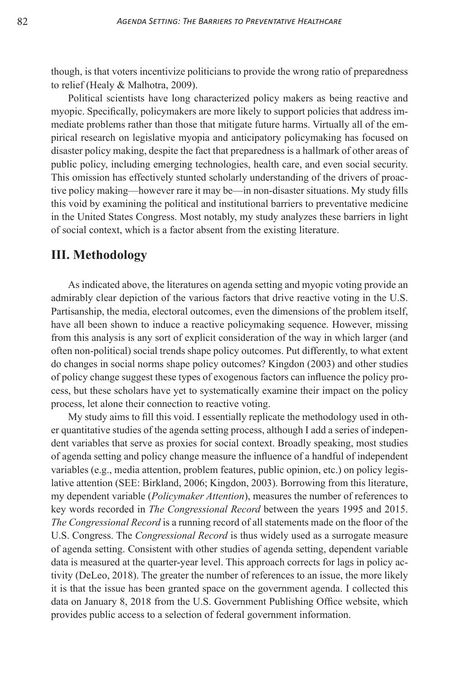though, is that voters incentivize politicians to provide the wrong ratio of preparedness to relief (Healy & Malhotra, 2009).

Political scientists have long characterized policy makers as being reactive and myopic. Specifically, policymakers are more likely to support policies that address immediate problems rather than those that mitigate future harms. Virtually all of the empirical research on legislative myopia and anticipatory policymaking has focused on disaster policy making, despite the fact that preparedness is a hallmark of other areas of public policy, including emerging technologies, health care, and even social security. This omission has effectively stunted scholarly understanding of the drivers of proactive policy making—however rare it may be—in non-disaster situations. My study fills this void by examining the political and institutional barriers to preventative medicine in the United States Congress. Most notably, my study analyzes these barriers in light of social context, which is a factor absent from the existing literature.

## **III. Methodology**

As indicated above, the literatures on agenda setting and myopic voting provide an admirably clear depiction of the various factors that drive reactive voting in the U.S. Partisanship, the media, electoral outcomes, even the dimensions of the problem itself, have all been shown to induce a reactive policymaking sequence. However, missing from this analysis is any sort of explicit consideration of the way in which larger (and often non-political) social trends shape policy outcomes. Put differently, to what extent do changes in social norms shape policy outcomes? Kingdon (2003) and other studies of policy change suggest these types of exogenous factors can influence the policy process, but these scholars have yet to systematically examine their impact on the policy process, let alone their connection to reactive voting.

My study aims to fill this void. I essentially replicate the methodology used in other quantitative studies of the agenda setting process, although I add a series of independent variables that serve as proxies for social context. Broadly speaking, most studies of agenda setting and policy change measure the influence of a handful of independent variables (e.g., media attention, problem features, public opinion, etc.) on policy legislative attention (SEE: Birkland, 2006; Kingdon, 2003). Borrowing from this literature, my dependent variable (*Policymaker Attention*), measures the number of references to key words recorded in *The Congressional Record* between the years 1995 and 2015. *The Congressional Record* is a running record of all statements made on the floor of the U.S. Congress. The *Congressional Record* is thus widely used as a surrogate measure of agenda setting. Consistent with other studies of agenda setting, dependent variable data is measured at the quarter-year level. This approach corrects for lags in policy activity (DeLeo, 2018). The greater the number of references to an issue, the more likely it is that the issue has been granted space on the government agenda. I collected this data on January 8, 2018 from the U.S. Government Publishing Office website, which provides public access to a selection of federal government information.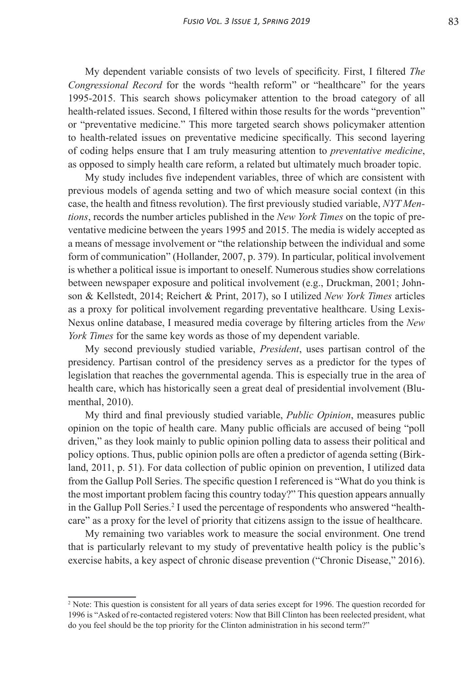My dependent variable consists of two levels of specificity. First, I filtered *The Congressional Record* for the words "health reform" or "healthcare" for the years 1995-2015. This search shows policymaker attention to the broad category of all health-related issues. Second, I filtered within those results for the words "prevention" or "preventative medicine." This more targeted search shows policymaker attention to health-related issues on preventative medicine specifically. This second layering of coding helps ensure that I am truly measuring attention to *preventative medicine*, as opposed to simply health care reform, a related but ultimately much broader topic.

My study includes five independent variables, three of which are consistent with previous models of agenda setting and two of which measure social context (in this case, the health and fitness revolution). The first previously studied variable, *NYT Mentions*, records the number articles published in the *New York Times* on the topic of preventative medicine between the years 1995 and 2015. The media is widely accepted as a means of message involvement or "the relationship between the individual and some form of communication" (Hollander, 2007, p. 379). In particular, political involvement is whether a political issue is important to oneself. Numerous studies show correlations between newspaper exposure and political involvement (e.g., Druckman, 2001; Johnson & Kellstedt, 2014; Reichert & Print, 2017), so I utilized *New York Times* articles as a proxy for political involvement regarding preventative healthcare. Using Lexis-Nexus online database, I measured media coverage by filtering articles from the *New York Times* for the same key words as those of my dependent variable.

My second previously studied variable, *President*, uses partisan control of the presidency. Partisan control of the presidency serves as a predictor for the types of legislation that reaches the governmental agenda. This is especially true in the area of health care, which has historically seen a great deal of presidential involvement (Blumenthal, 2010).

My third and final previously studied variable, *Public Opinion*, measures public opinion on the topic of health care. Many public officials are accused of being "poll driven," as they look mainly to public opinion polling data to assess their political and policy options. Thus, public opinion polls are often a predictor of agenda setting (Birkland, 2011, p. 51). For data collection of public opinion on prevention, I utilized data from the Gallup Poll Series. The specific question I referenced is "What do you think is the most important problem facing this country today?" This question appears annually in the Gallup Poll Series.<sup>2</sup> I used the percentage of respondents who answered "healthcare" as a proxy for the level of priority that citizens assign to the issue of healthcare.

My remaining two variables work to measure the social environment. One trend that is particularly relevant to my study of preventative health policy is the public's exercise habits, a key aspect of chronic disease prevention ("Chronic Disease," 2016).

<sup>&</sup>lt;sup>2</sup> Note: This question is consistent for all years of data series except for 1996. The question recorded for 1996 is "Asked of re-contacted registered voters: Now that Bill Clinton has been reelected president, what do you feel should be the top priority for the Clinton administration in his second term?"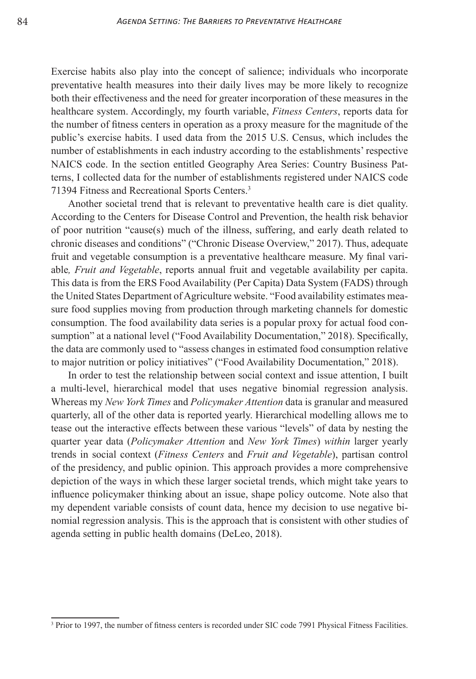Exercise habits also play into the concept of salience; individuals who incorporate preventative health measures into their daily lives may be more likely to recognize both their effectiveness and the need for greater incorporation of these measures in the healthcare system. Accordingly, my fourth variable, *Fitness Centers*, reports data for the number of fitness centers in operation as a proxy measure for the magnitude of the public's exercise habits. I used data from the 2015 U.S. Census, which includes the number of establishments in each industry according to the establishments' respective NAICS code. In the section entitled Geography Area Series: Country Business Patterns, I collected data for the number of establishments registered under NAICS code 71394 Fitness and Recreational Sports Centers.<sup>3</sup>

Another societal trend that is relevant to preventative health care is diet quality. According to the Centers for Disease Control and Prevention, the health risk behavior of poor nutrition "cause(s) much of the illness, suffering, and early death related to chronic diseases and conditions" ("Chronic Disease Overview," 2017). Thus, adequate fruit and vegetable consumption is a preventative healthcare measure. My final variable*, Fruit and Vegetable*, reports annual fruit and vegetable availability per capita. This data is from the ERS Food Availability (Per Capita) Data System (FADS) through the United States Department of Agriculture website. "Food availability estimates measure food supplies moving from production through marketing channels for domestic consumption. The food availability data series is a popular proxy for actual food consumption" at a national level ("Food Availability Documentation," 2018). Specifically, the data are commonly used to "assess changes in estimated food consumption relative to major nutrition or policy initiatives" ("Food Availability Documentation," 2018).

In order to test the relationship between social context and issue attention, I built a multi-level, hierarchical model that uses negative binomial regression analysis. Whereas my *New York Times* and *Policymaker Attention* data is granular and measured quarterly, all of the other data is reported yearly. Hierarchical modelling allows me to tease out the interactive effects between these various "levels" of data by nesting the quarter year data (*Policymaker Attention* and *New York Times*) *within* larger yearly trends in social context (*Fitness Centers* and *Fruit and Vegetable*), partisan control of the presidency, and public opinion. This approach provides a more comprehensive depiction of the ways in which these larger societal trends, which might take years to influence policymaker thinking about an issue, shape policy outcome. Note also that my dependent variable consists of count data, hence my decision to use negative binomial regression analysis. This is the approach that is consistent with other studies of agenda setting in public health domains (DeLeo, 2018).

<sup>&</sup>lt;sup>3</sup> Prior to 1997, the number of fitness centers is recorded under SIC code 7991 Physical Fitness Facilities.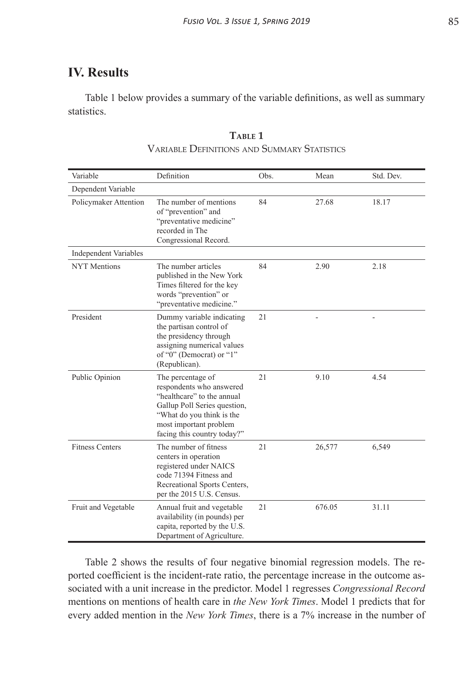## **IV. Results**

Table 1 below provides a summary of the variable definitions, as well as summary statistics.

| Variable                     | Definition                                                                                                                                                                                        | Obs.               | Mean   | Std. Dev. |
|------------------------------|---------------------------------------------------------------------------------------------------------------------------------------------------------------------------------------------------|--------------------|--------|-----------|
| Dependent Variable           |                                                                                                                                                                                                   |                    |        |           |
| Policymaker Attention        | The number of mentions<br>of "prevention" and<br>"preventative medicine"<br>recorded in The<br>Congressional Record.                                                                              | 84                 | 27.68  | 18.17     |
| <b>Independent Variables</b> |                                                                                                                                                                                                   |                    |        |           |
| <b>NYT Mentions</b>          | The number articles<br>published in the New York<br>Times filtered for the key<br>words "prevention" or<br>"preventative medicine."                                                               | 84<br>2.90<br>2.18 |        |           |
| President                    | Dummy variable indicating<br>the partisan control of<br>the presidency through<br>assigning numerical values<br>of "0" (Democrat) or "1"<br>(Republican).                                         | 21                 |        |           |
| Public Opinion               | The percentage of<br>respondents who answered<br>"healthcare" to the annual<br>Gallup Poll Series question,<br>"What do you think is the<br>most important problem<br>facing this country today?" | 21                 | 9.10   | 4.54      |
| <b>Fitness Centers</b>       | The number of fitness<br>centers in operation<br>registered under NAICS<br>code 71394 Fitness and<br>Recreational Sports Centers,<br>per the 2015 U.S. Census.                                    | 21                 | 26,577 | 6,549     |
| Fruit and Vegetable          | Annual fruit and vegetable<br>availability (in pounds) per<br>capita, reported by the U.S.<br>Department of Agriculture.                                                                          | 21                 | 676.05 | 31.11     |

| TABLE 1                                     |
|---------------------------------------------|
| VARIABLE DEFINITIONS AND SUMMARY STATISTICS |

Table 2 shows the results of four negative binomial regression models. The reported coefficient is the incident-rate ratio, the percentage increase in the outcome associated with a unit increase in the predictor. Model 1 regresses *Congressional Record* mentions on mentions of health care in *the New York Times*. Model 1 predicts that for every added mention in the *New York Times*, there is a 7% increase in the number of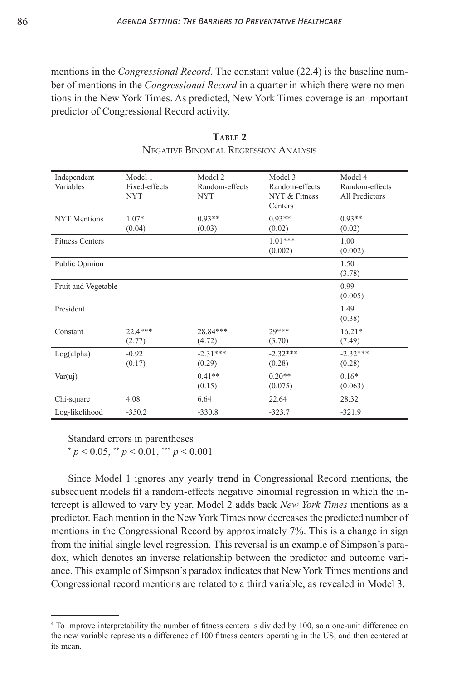mentions in the *Congressional Record*. The constant value (22.4) is the baseline number of mentions in the *Congressional Record* in a quarter in which there were no mentions in the New York Times. As predicted, New York Times coverage is an important predictor of Congressional Record activity.

| Independent<br>Variables | Model 1<br>Fixed-effects<br><b>NYT</b> | Model 2<br>Random-effects<br><b>NYT</b> | Model 3<br>Random-effects<br>NYT & Fitness<br>Centers | Model 4<br>Random-effects<br>All Predictors |
|--------------------------|----------------------------------------|-----------------------------------------|-------------------------------------------------------|---------------------------------------------|
| <b>NYT</b> Mentions      | 1.07*                                  | $0.93**$                                | $0.93**$                                              | $0.93**$                                    |
|                          | (0.04)                                 | (0.03)                                  | (0.02)                                                | (0.02)                                      |
| <b>Fitness Centers</b>   |                                        |                                         | $1.01***$                                             | 1.00                                        |
|                          |                                        |                                         | (0.002)                                               | (0.002)                                     |
| Public Opinion           |                                        |                                         |                                                       | 1.50                                        |
|                          |                                        |                                         |                                                       | (3.78)                                      |
| Fruit and Vegetable      |                                        |                                         |                                                       | 0.99                                        |
|                          |                                        |                                         |                                                       | (0.005)                                     |
| President                |                                        |                                         |                                                       | 1.49                                        |
|                          |                                        |                                         |                                                       | (0.38)                                      |
| Constant                 | $22.4***$                              | 28.84***                                | 29***                                                 | $16.21*$                                    |
|                          | (2.77)                                 | (4.72)                                  | (3.70)                                                | (7.49)                                      |
| Log(alpha)               | $-0.92$                                | $-2.31***$                              | $-2.32***$                                            | $-2.32***$                                  |
|                          | (0.17)                                 | (0.29)                                  | (0.28)                                                | (0.28)                                      |
| Var(uj)                  |                                        | $0.41**$                                | $0.20**$                                              | $0.16*$                                     |
|                          |                                        | (0.15)                                  | (0.075)                                               | (0.063)                                     |
| Chi-square               | 4.08                                   | 6.64                                    | 22.64                                                 | 28.32                                       |
| Log-likelihood           | $-350.2$                               | $-330.8$                                | $-323.7$                                              | $-321.9$                                    |

 $T$ **ABIE** 2 Negative Binomial Regression Analysis

Standard errors in parentheses

\* 
$$
p < 0.05
$$
, \*\*  $p < 0.01$ , \*\*\*  $p < 0.001$ 

Since Model 1 ignores any yearly trend in Congressional Record mentions, the subsequent models fit a random-effects negative binomial regression in which the intercept is allowed to vary by year. Model 2 adds back *New York Times* mentions as a predictor. Each mention in the New York Times now decreases the predicted number of mentions in the Congressional Record by approximately 7%. This is a change in sign from the initial single level regression. This reversal is an example of Simpson's paradox, which denotes an inverse relationship between the predictor and outcome variance. This example of Simpson's paradox indicates that New York Times mentions and Congressional record mentions are related to a third variable, as revealed in Model 3.

<sup>4</sup> To improve interpretability the number of fitness centers is divided by 100, so a one-unit difference on the new variable represents a difference of 100 fitness centers operating in the US, and then centered at its mean.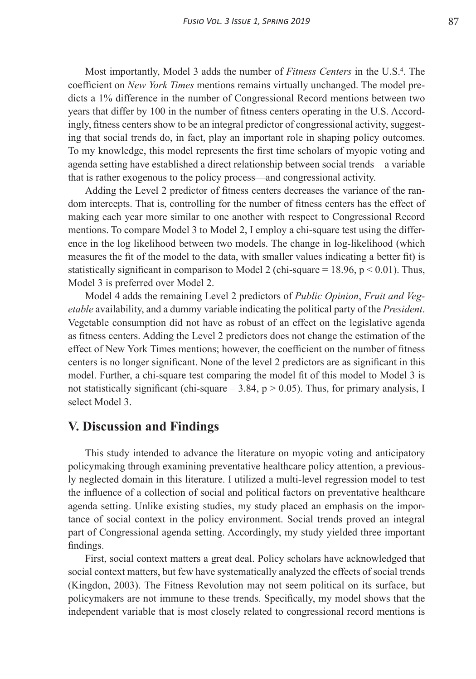Most importantly, Model 3 adds the number of *Fitness Centers* in the U.S.<sup>4</sup>. The coefficient on *New York Times* mentions remains virtually unchanged. The model predicts a 1% difference in the number of Congressional Record mentions between two years that differ by 100 in the number of fitness centers operating in the U.S. Accordingly, fitness centers show to be an integral predictor of congressional activity, suggesting that social trends do, in fact, play an important role in shaping policy outcomes. To my knowledge, this model represents the first time scholars of myopic voting and agenda setting have established a direct relationship between social trends—a variable that is rather exogenous to the policy process—and congressional activity.

Adding the Level 2 predictor of fitness centers decreases the variance of the random intercepts. That is, controlling for the number of fitness centers has the effect of making each year more similar to one another with respect to Congressional Record mentions. To compare Model 3 to Model 2, I employ a chi-square test using the difference in the log likelihood between two models. The change in log-likelihood (which measures the fit of the model to the data, with smaller values indicating a better fit) is statistically significant in comparison to Model 2 (chi-square = 18.96,  $p < 0.01$ ). Thus, Model 3 is preferred over Model 2.

Model 4 adds the remaining Level 2 predictors of *Public Opinion*, *Fruit and Vegetable* availability, and a dummy variable indicating the political party of the *President*. Vegetable consumption did not have as robust of an effect on the legislative agenda as fitness centers. Adding the Level 2 predictors does not change the estimation of the effect of New York Times mentions; however, the coefficient on the number of fitness centers is no longer significant. None of the level 2 predictors are as significant in this model. Further, a chi-square test comparing the model fit of this model to Model 3 is not statistically significant (chi-square  $-3.84$ ,  $p > 0.05$ ). Thus, for primary analysis, I select Model 3.

#### **V. Discussion and Findings**

This study intended to advance the literature on myopic voting and anticipatory policymaking through examining preventative healthcare policy attention, a previously neglected domain in this literature. I utilized a multi-level regression model to test the influence of a collection of social and political factors on preventative healthcare agenda setting. Unlike existing studies, my study placed an emphasis on the importance of social context in the policy environment. Social trends proved an integral part of Congressional agenda setting. Accordingly, my study yielded three important findings.

First, social context matters a great deal. Policy scholars have acknowledged that social context matters, but few have systematically analyzed the effects of social trends (Kingdon, 2003). The Fitness Revolution may not seem political on its surface, but policymakers are not immune to these trends. Specifically, my model shows that the independent variable that is most closely related to congressional record mentions is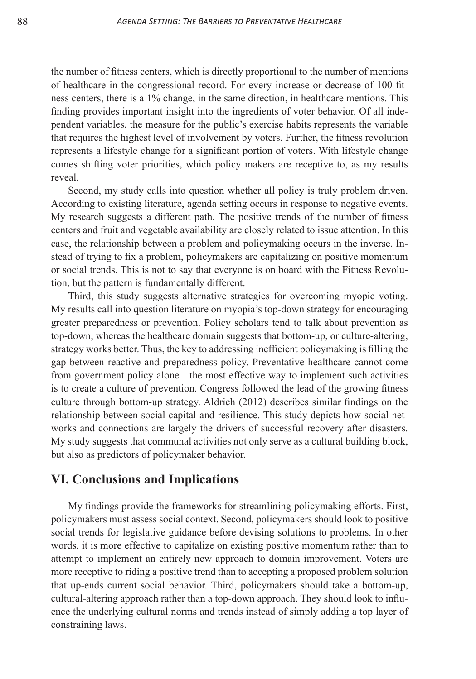the number of fitness centers, which is directly proportional to the number of mentions of healthcare in the congressional record. For every increase or decrease of 100 fitness centers, there is a 1% change, in the same direction, in healthcare mentions. This finding provides important insight into the ingredients of voter behavior. Of all independent variables, the measure for the public's exercise habits represents the variable that requires the highest level of involvement by voters. Further, the fitness revolution represents a lifestyle change for a significant portion of voters. With lifestyle change comes shifting voter priorities, which policy makers are receptive to, as my results reveal.

Second, my study calls into question whether all policy is truly problem driven. According to existing literature, agenda setting occurs in response to negative events. My research suggests a different path. The positive trends of the number of fitness centers and fruit and vegetable availability are closely related to issue attention. In this case, the relationship between a problem and policymaking occurs in the inverse. Instead of trying to fix a problem, policymakers are capitalizing on positive momentum or social trends. This is not to say that everyone is on board with the Fitness Revolution, but the pattern is fundamentally different.

Third, this study suggests alternative strategies for overcoming myopic voting. My results call into question literature on myopia's top-down strategy for encouraging greater preparedness or prevention. Policy scholars tend to talk about prevention as top-down, whereas the healthcare domain suggests that bottom-up, or culture-altering, strategy works better. Thus, the key to addressing inefficient policymaking is filling the gap between reactive and preparedness policy. Preventative healthcare cannot come from government policy alone—the most effective way to implement such activities is to create a culture of prevention. Congress followed the lead of the growing fitness culture through bottom-up strategy. Aldrich (2012) describes similar findings on the relationship between social capital and resilience. This study depicts how social networks and connections are largely the drivers of successful recovery after disasters. My study suggests that communal activities not only serve as a cultural building block, but also as predictors of policymaker behavior.

### **VI. Conclusions and Implications**

My findings provide the frameworks for streamlining policymaking efforts. First, policymakers must assess social context. Second, policymakers should look to positive social trends for legislative guidance before devising solutions to problems. In other words, it is more effective to capitalize on existing positive momentum rather than to attempt to implement an entirely new approach to domain improvement. Voters are more receptive to riding a positive trend than to accepting a proposed problem solution that up-ends current social behavior. Third, policymakers should take a bottom-up, cultural-altering approach rather than a top-down approach. They should look to influence the underlying cultural norms and trends instead of simply adding a top layer of constraining laws.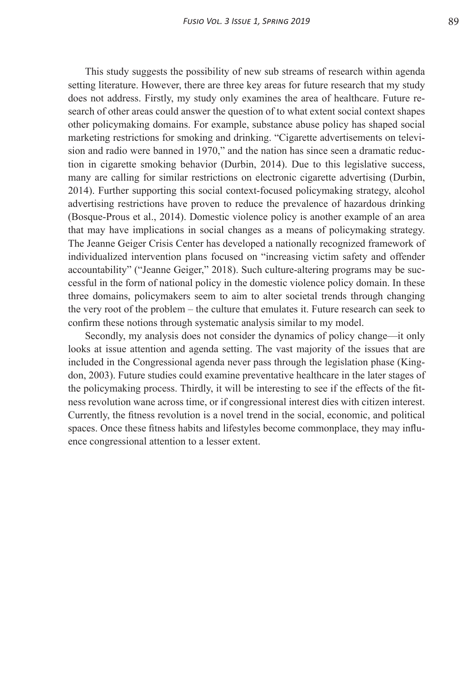This study suggests the possibility of new sub streams of research within agenda setting literature. However, there are three key areas for future research that my study does not address. Firstly, my study only examines the area of healthcare. Future research of other areas could answer the question of to what extent social context shapes other policymaking domains. For example, substance abuse policy has shaped social marketing restrictions for smoking and drinking. "Cigarette advertisements on television and radio were banned in 1970," and the nation has since seen a dramatic reduction in cigarette smoking behavior (Durbin, 2014). Due to this legislative success, many are calling for similar restrictions on electronic cigarette advertising (Durbin, 2014). Further supporting this social context-focused policymaking strategy, alcohol advertising restrictions have proven to reduce the prevalence of hazardous drinking (Bosque-Prous et al., 2014). Domestic violence policy is another example of an area that may have implications in social changes as a means of policymaking strategy. The Jeanne Geiger Crisis Center has developed a nationally recognized framework of individualized intervention plans focused on "increasing victim safety and offender accountability" ("Jeanne Geiger," 2018). Such culture-altering programs may be successful in the form of national policy in the domestic violence policy domain. In these three domains, policymakers seem to aim to alter societal trends through changing the very root of the problem – the culture that emulates it. Future research can seek to confirm these notions through systematic analysis similar to my model.

Secondly, my analysis does not consider the dynamics of policy change—it only looks at issue attention and agenda setting. The vast majority of the issues that are included in the Congressional agenda never pass through the legislation phase (Kingdon, 2003). Future studies could examine preventative healthcare in the later stages of the policymaking process. Thirdly, it will be interesting to see if the effects of the fitness revolution wane across time, or if congressional interest dies with citizen interest. Currently, the fitness revolution is a novel trend in the social, economic, and political spaces. Once these fitness habits and lifestyles become commonplace, they may influence congressional attention to a lesser extent.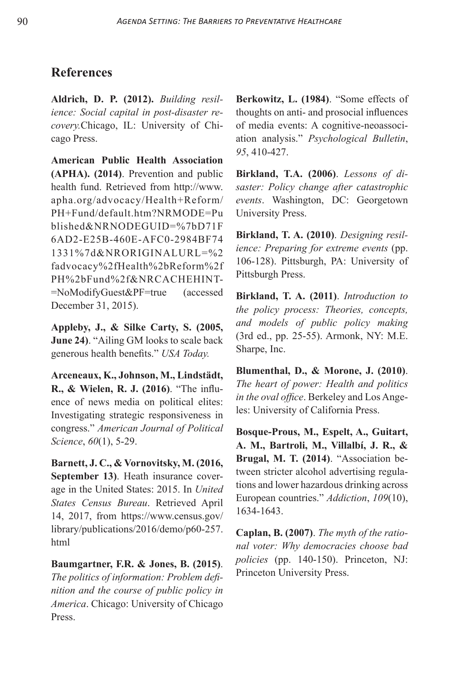# **References**

**Aldrich, D. P. (2012).** *Building resilience: Social capital in post-disaster recovery.*Chicago, IL: University of Chicago Press.

**American Public Health Association (APHA). (2014)**. Prevention and public health fund. Retrieved from http://www. apha.org/advocacy/Health+Reform/ PH+Fund/default.htm?NRMODE=Pu blished&NRNODEGUID=%7bD71F 6AD2-E25B-460E-AFC0-2984BF74 1331%7d&NRORIGINALURL=%2 fadvocacy%2fHealth%2bReform%2f PH%2bFund%2f&NRCACHEHINT- =NoModifyGuest&PF=true (accessed December 31, 2015).

**Appleby, J., & Silke Carty, S. (2005, June 24)**. "Ailing GM looks to scale back generous health benefits." *USA Today.*

**Arceneaux, K., Johnson, M., Lindstädt, R., & Wielen, R. J. (2016)**. "The influence of news media on political elites: Investigating strategic responsiveness in congress." *American Journal of Political Science*, *60*(1), 5-29.

**Barnett, J. C., & Vornovitsky, M. (2016, September 13)**. Heath insurance coverage in the United States: 2015. In *United States Census Bureau*. Retrieved April 14, 2017, from https://www.census.gov/ library/publications/2016/demo/p60-257. html

**Baumgartner, F.R. & Jones, B. (2015)**. *The politics of information: Problem definition and the course of public policy in America*. Chicago: University of Chicago Press.

**Berkowitz, L. (1984)**. "Some effects of thoughts on anti- and prosocial influences of media events: A cognitive-neoassociation analysis." *Psychological Bulletin*, *95*, 410-427.

**Birkland, T.A. (2006)**. *Lessons of disaster: Policy change after catastrophic events*. Washington, DC: Georgetown University Press.

**Birkland, T. A. (2010)**. *Designing resilience: Preparing for extreme events* (pp. 106-128). Pittsburgh, PA: University of Pittsburgh Press.

**Birkland, T. A. (2011)**. *Introduction to the policy process: Theories, concepts, and models of public policy making* (3rd ed., pp. 25-55). Armonk, NY: M.E. Sharpe, Inc.

**Blumenthal, D., & Morone, J. (2010)**. *The heart of power: Health and politics in the oval office*. Berkeley and Los Angeles: University of California Press.

**Bosque-Prous, M., Espelt, A., Guitart, A. M., Bartroli, M., Villalbí, J. R., & Brugal, M. T. (2014)**. "Association between stricter alcohol advertising regulations and lower hazardous drinking across European countries." *Addiction*, *109*(10), 1634-1643.

**Caplan, B. (2007)**. *The myth of the rational voter: Why democracies choose bad policies* (pp. 140-150). Princeton, NJ: Princeton University Press.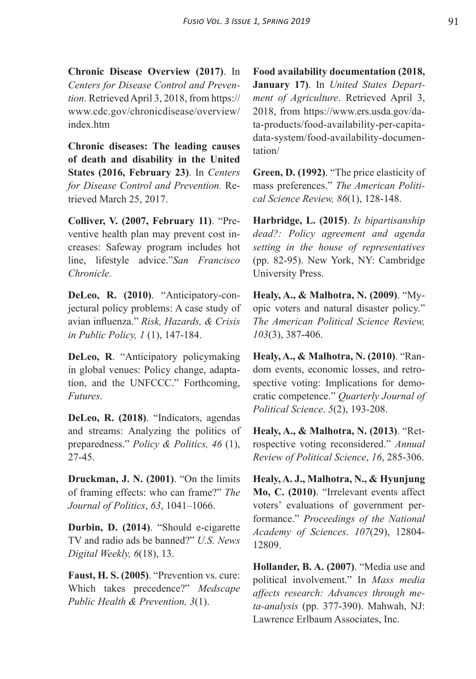**Chronic Disease Overview (2017)**. In *Centers for Disease Control and Prevention*. Retrieved April 3, 2018, from https:// www.cdc.gov/chronicdisease/overview/ index.htm

**Chronic diseases: The leading causes of death and disability in the United States (2016, February 23)**. In *Centers for Disease Control and Prevention.* Retrieved March 25, 2017.

**Colliver, V. (2007, February 11)**. "Preventive health plan may prevent cost increases: Safeway program includes hot line, lifestyle advice."*San Francisco Chronicle.*

**DeLeo, R. (2010)**. "Anticipatory-conjectural policy problems: A case study of avian influenza." *Risk, Hazards, & Crisis in Public Policy, 1* (1), 147-184.

**DeLeo, R**. "Anticipatory policymaking in global venues: Policy change, adaptation, and the UNFCCC." Forthcoming, *Futures*.

**DeLeo, R. (2018)**. "Indicators, agendas and streams: Analyzing the politics of preparedness." *Policy & Politics, 46* (1), 27-45.

**Druckman, J. N. (2001)**. "On the limits of framing effects: who can frame?" *The Journal of Politics*, *63*, 1041–1066.

**Durbin, D. (2014)**. "Should e-cigarette TV and radio ads be banned?" *U.S. News Digital Weekly, 6*(18), 13.

**Faust, H. S. (2005)**. "Prevention vs. cure: Which takes precedence?" *Medscape Public Health & Prevention, 3*(1).

**Food availability documentation (2018, January 17)**. In *United States Department of Agriculture*. Retrieved April 3, 2018, from https://www.ers.usda.gov/data-products/food-availability-per-capitadata-system/food-availability-documentation/

**Green, D. (1992)**. "The price elasticity of mass preferences." *The American Political Science Review, 86*(1), 128-148.

**Harbridge, L. (2015)**. *Is bipartisanship dead?: Policy agreement and agenda setting in the house of representatives* (pp. 82-95). New York, NY: Cambridge University Press.

**Healy, A., & Malhotra, N. (2009)**. "Myopic voters and natural disaster policy." *The American Political Science Review, 103*(3), 387-406.

**Healy, A., & Malhotra, N. (2010)**. "Random events, economic losses, and retrospective voting: Implications for democratic competence." *Quarterly Journal of Political Science*. *5*(2), 193-208.

**Healy, A., & Malhotra, N. (2013)**. "Retrospective voting reconsidered." *Annual Review of Political Science*, *16*, 285-306.

**Healy, A. J., Malhotra, N., & Hyunjung Mo, C. (2010)**. "Irrelevant events affect voters' evaluations of government performance." *Proceedings of the National Academy of Sciences*. *107*(29), 12804- 12809.

**Hollander, B. A. (2007)**. "Media use and political involvement." In *Mass media affects research: Advances through meta-analysis* (pp. 377-390). Mahwah, NJ: Lawrence Erlbaum Associates, Inc.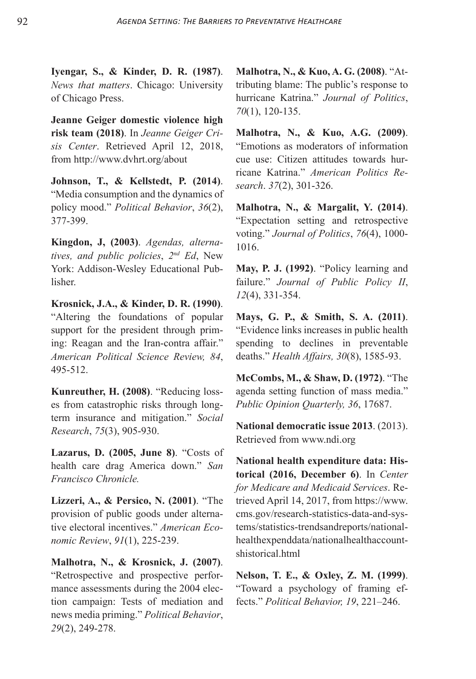**Iyengar, S., & Kinder, D. R. (1987)**. *News that matters*. Chicago: University of Chicago Press.

**Jeanne Geiger domestic violence high risk team (2018)**. In *Jeanne Geiger Crisis Center*. Retrieved April 12, 2018, from http://www.dvhrt.org/about

**Johnson, T., & Kellstedt, P. (2014)**. "Media consumption and the dynamics of policy mood." *Political Behavior*, *36*(2), 377-399.

**Kingdon, J, (2003)**. *Agendas, alternatives, and public policies*, *2nd Ed*, New York: Addison-Wesley Educational Publisher.

**Krosnick, J.A., & Kinder, D. R. (1990)**. "Altering the foundations of popular support for the president through priming: Reagan and the Iran-contra affair." *American Political Science Review, 84*, 495-512.

**Kunreuther, H. (2008)**. "Reducing losses from catastrophic risks through longterm insurance and mitigation." *Social Research*, *75*(3), 905-930.

**Lazarus, D. (2005, June 8)**. "Costs of health care drag America down." *San Francisco Chronicle.*

**Lizzeri, A., & Persico, N. (2001)**. "The provision of public goods under alternative electoral incentives." *American Economic Review*, *91*(1), 225-239.

**Malhotra, N., & Krosnick, J. (2007)**. "Retrospective and prospective performance assessments during the 2004 election campaign: Tests of mediation and news media priming." *Political Behavior*, *29*(2), 249-278.

**Malhotra, N., & Kuo, A. G. (2008)**. "Attributing blame: The public's response to hurricane Katrina." *Journal of Politics*, *70*(1), 120-135.

**Malhotra, N., & Kuo, A.G. (2009)**. "Emotions as moderators of information cue use: Citizen attitudes towards hurricane Katrina." *American Politics Research*. *37*(2), 301-326.

**Malhotra, N., & Margalit, Y. (2014)**. "Expectation setting and retrospective voting." *Journal of Politics*, *76*(4), 1000- 1016.

**May, P. J. (1992)**. "Policy learning and failure." *Journal of Public Policy II*, *12*(4), 331-354.

**Mays, G. P., & Smith, S. A. (2011)**. "Evidence links increases in public health spending to declines in preventable deaths." *Health Affairs, 30*(8), 1585-93.

**McCombs, M., & Shaw, D. (1972)**. "The agenda setting function of mass media." *Public Opinion Quarterly, 36*, 17687.

**National democratic issue 2013**. (2013). Retrieved from www.ndi.org

**National health expenditure data: Historical (2016, December 6)**. In *Center for Medicare and Medicaid Services*. Retrieved April 14, 2017, from https://www. cms.gov/research-statistics-data-and-systems/statistics-trendsandreports/nationalhealthexpenddata/nationalhealthaccountshistorical.html

**Nelson, T. E., & Oxley, Z. M. (1999)**. "Toward a psychology of framing effects." *Political Behavior, 19*, 221–246.